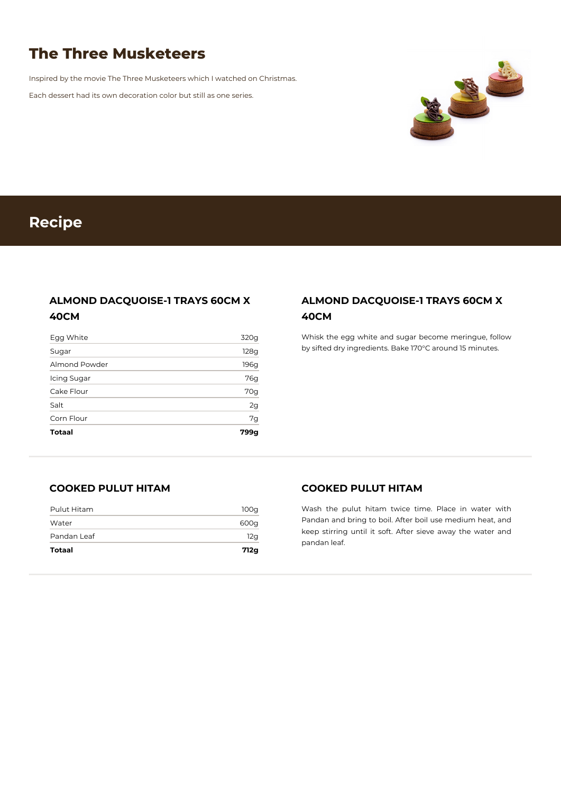# **The Three Musketeers**

Inspired by the movie The Three Musketeers which I watched on Christmas.

Each dessert had its own decoration color but still as one series.



# **Recipe**

## **ALMOND DACQUOISE-1 TRAYS 60CM X 40CM**

| <b>Totaal</b> | 799g |
|---------------|------|
| Corn Flour    | 7g   |
| Salt          | 2g   |
| Cake Flour    | 70g  |
| Icing Sugar   | 76g  |
| Almond Powder | 196g |
| Sugar         | 128g |
| Egg White     | 320g |

## **ALMOND DACQUOISE-1 TRAYS 60CM X 40CM**

Whisk the egg white and sugar become meringue, follow by sifted dry ingredients. Bake 170°C around 15 minutes.

### **COOKED PULUT HITAM**

| Totaal      | 712g |
|-------------|------|
| Pandan Leaf | 12g  |
| Water       | 600g |
| Pulut Hitam | 100q |

#### **COOKED PULUT HITAM**

Wash the pulut hitam twice time. Place in water with Pandan and bring to boil. After boil use medium heat, and keep stirring until it soft. After sieve away the water and pandan leaf.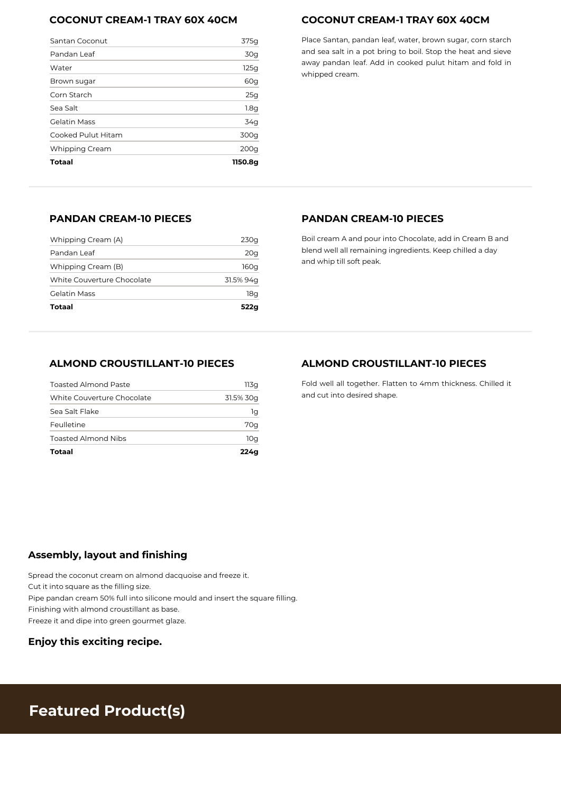## **COCONUT CREAM-1 TRAY 60X 40CM**

| Santan Coconut        | 375g            |
|-----------------------|-----------------|
| Pandan Leaf           | 30 <sub>g</sub> |
| Water                 | 125g            |
| Brown sugar           | 60g             |
| Corn Starch           | 25g             |
| Sea Salt              | 1.8g            |
| <b>Gelatin Mass</b>   | 34g             |
| Cooked Pulut Hitam    | 300g            |
| <b>Whipping Cream</b> | 200q            |
| Totaal                | 1150.8a         |

## **COCONUT CREAM-1 TRAY 60X 40CM**

Place Santan, pandan leaf, water, brown sugar, corn starch and sea salt in a pot bring to boil. Stop the heat and sieve away pandan leaf. Add in cooked pulut hitam and fold in whipped cream.

## **PANDAN CREAM-10 PIECES**

| Totaal                     | 522a      |
|----------------------------|-----------|
| Gelatin Mass               | 18q       |
| White Couverture Chocolate | 31.5% 94q |
| Whipping Cream (B)         | 160g      |
| Pandan Leaf                | 20g       |
| Whipping Cream (A)         | 230g      |

#### **PANDAN CREAM-10 PIECES**

Boil cream A and pour into Chocolate, add in Cream B and blend well all remaining ingredients. Keep chilled a day and whip till soft peak.

#### **ALMOND CROUSTILLANT-10 PIECES**

| Totaal                      | 224a      |
|-----------------------------|-----------|
| <b>Toasted Almond Nibs</b>  | 10q       |
| Feulletine                  | 70g       |
| Sea Salt Flake              | 1g        |
| White Couverture Chocolate  | 31.5% 30g |
| <b>Toasted Almond Paste</b> | 113a      |

### **ALMOND CROUSTILLANT-10 PIECES**

Fold well all together. Flatten to 4mm thickness. Chilled it and cut into desired shape.

## **Assembly, layout and finishing**

Spread the coconut cream on almond dacquoise and freeze it.

Cut it into square as the filling size.

Pipe pandan cream 50% full into silicone mould and insert the square filling.

Finishing with almond croustillant as base.

Freeze it and dipe into green gourmet glaze.

**Enjoy this exciting recipe.**

## **Featured Product(s)**